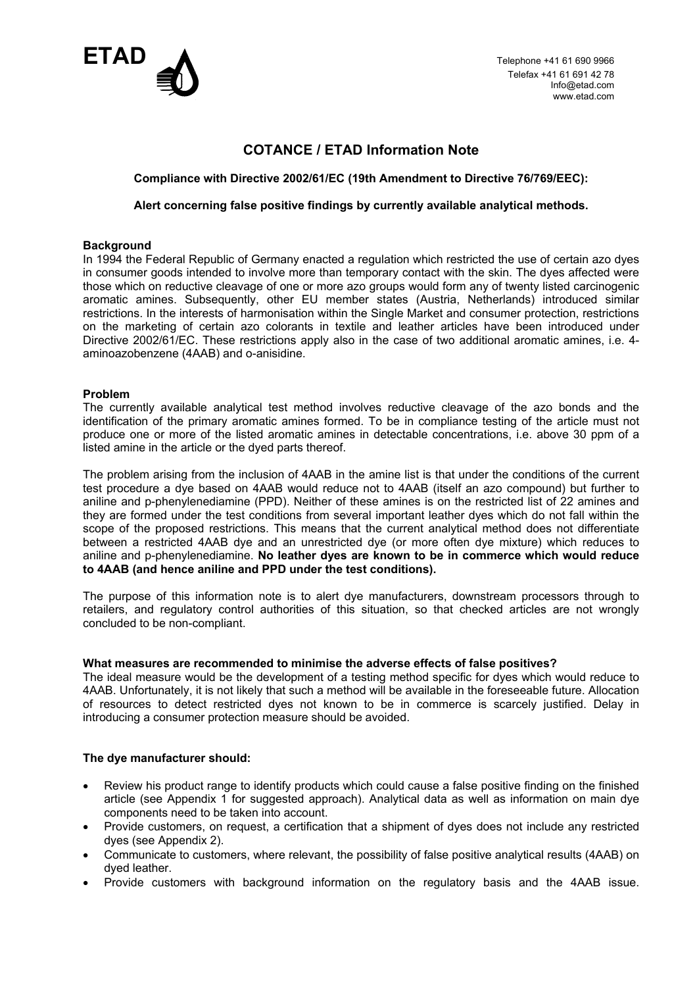

Telefax +41 61 691 42 78 Info@etad.com www.etad.com

## **COTANCE / ETAD Information Note**

### **Compliance with Directive 2002/61/EC (19th Amendment to Directive 76/769/EEC):**

#### **Alert concerning false positive findings by currently available analytical methods.**

#### **Background**

In 1994 the Federal Republic of Germany enacted a regulation which restricted the use of certain azo dyes in consumer goods intended to involve more than temporary contact with the skin. The dyes affected were those which on reductive cleavage of one or more azo groups would form any of twenty listed carcinogenic aromatic amines. Subsequently, other EU member states (Austria, Netherlands) introduced similar restrictions. In the interests of harmonisation within the Single Market and consumer protection, restrictions on the marketing of certain azo colorants in textile and leather articles have been introduced under Directive 2002/61/EC. These restrictions apply also in the case of two additional aromatic amines, i.e. 4 aminoazobenzene (4AAB) and o-anisidine.

## **Problem**

The currently available analytical test method involves reductive cleavage of the azo bonds and the identification of the primary aromatic amines formed. To be in compliance testing of the article must not produce one or more of the listed aromatic amines in detectable concentrations, i.e. above 30 ppm of a listed amine in the article or the dyed parts thereof.

The problem arising from the inclusion of 4AAB in the amine list is that under the conditions of the current test procedure a dye based on 4AAB would reduce not to 4AAB (itself an azo compound) but further to aniline and p-phenylenediamine (PPD). Neither of these amines is on the restricted list of 22 amines and they are formed under the test conditions from several important leather dyes which do not fall within the scope of the proposed restrictions. This means that the current analytical method does not differentiate between a restricted 4AAB dye and an unrestricted dye (or more often dye mixture) which reduces to aniline and p-phenylenediamine. **No leather dyes are known to be in commerce which would reduce to 4AAB (and hence aniline and PPD under the test conditions).**

The purpose of this information note is to alert dye manufacturers, downstream processors through to retailers, and regulatory control authorities of this situation, so that checked articles are not wrongly concluded to be non-compliant.

#### **What measures are recommended to minimise the adverse effects of false positives?**

The ideal measure would be the development of a testing method specific for dyes which would reduce to 4AAB. Unfortunately, it is not likely that such a method will be available in the foreseeable future. Allocation of resources to detect restricted dyes not known to be in commerce is scarcely justified. Delay in introducing a consumer protection measure should be avoided.

## **The dye manufacturer should:**

- Review his product range to identify products which could cause a false positive finding on the finished article (see Appendix 1 for suggested approach). Analytical data as well as information on main dye components need to be taken into account.
- Provide customers, on request, a certification that a shipment of dyes does not include any restricted dyes (see Appendix 2).
- Communicate to customers, where relevant, the possibility of false positive analytical results (4AAB) on dyed leather.
- Provide customers with background information on the regulatory basis and the 4AAB issue.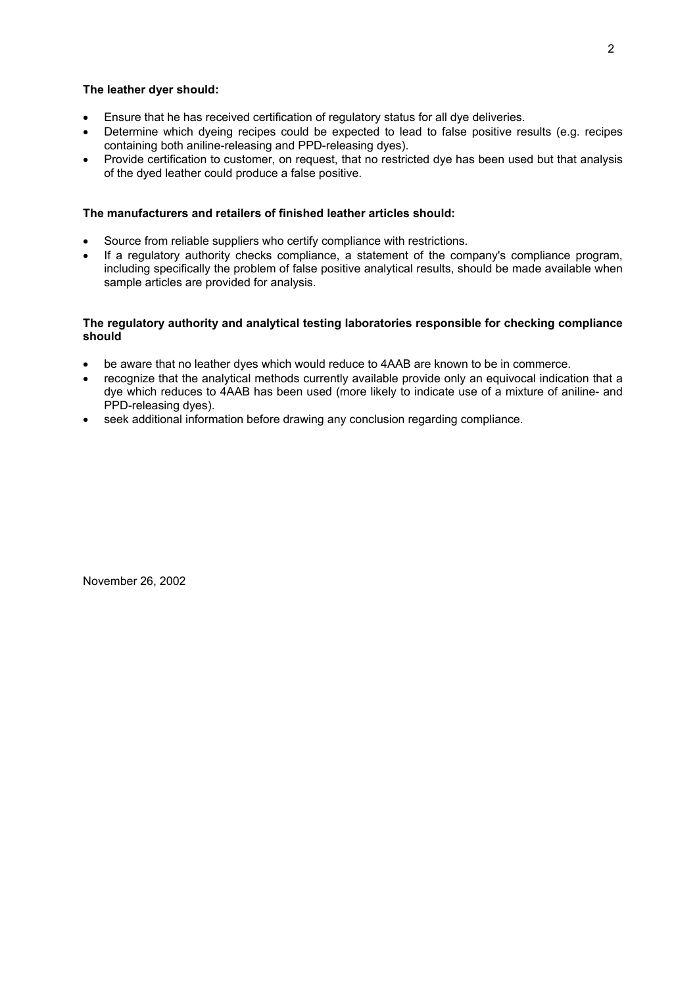#### **The leather dyer should:**

- Ensure that he has received certification of regulatory status for all dye deliveries.
- Determine which dyeing recipes could be expected to lead to false positive results (e.g. recipes containing both aniline-releasing and PPD-releasing dyes).
- Provide certification to customer, on request, that no restricted dye has been used but that analysis of the dyed leather could produce a false positive.

### **The manufacturers and retailers of finished leather articles should:**

- Source from reliable suppliers who certify compliance with restrictions.
- If a regulatory authority checks compliance, a statement of the company's compliance program, including specifically the problem of false positive analytical results, should be made available when sample articles are provided for analysis.

#### **The regulatory authority and analytical testing laboratories responsible for checking compliance should**

- be aware that no leather dyes which would reduce to 4AAB are known to be in commerce.
- recognize that the analytical methods currently available provide only an equivocal indication that a dye which reduces to 4AAB has been used (more likely to indicate use of a mixture of aniline- and PPD-releasing dyes).
- seek additional information before drawing any conclusion regarding compliance.

November 26, 2002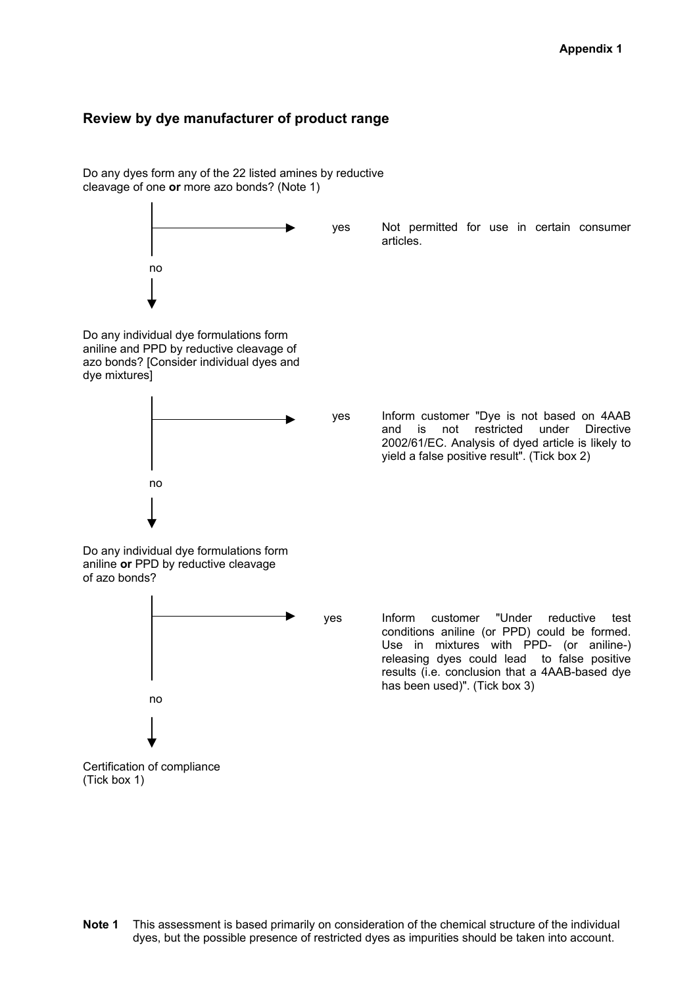# **Review by dye manufacturer of product range**



**Note 1** This assessment is based primarily on consideration of the chemical structure of the individual dyes, but the possible presence of restricted dyes as impurities should be taken into account.